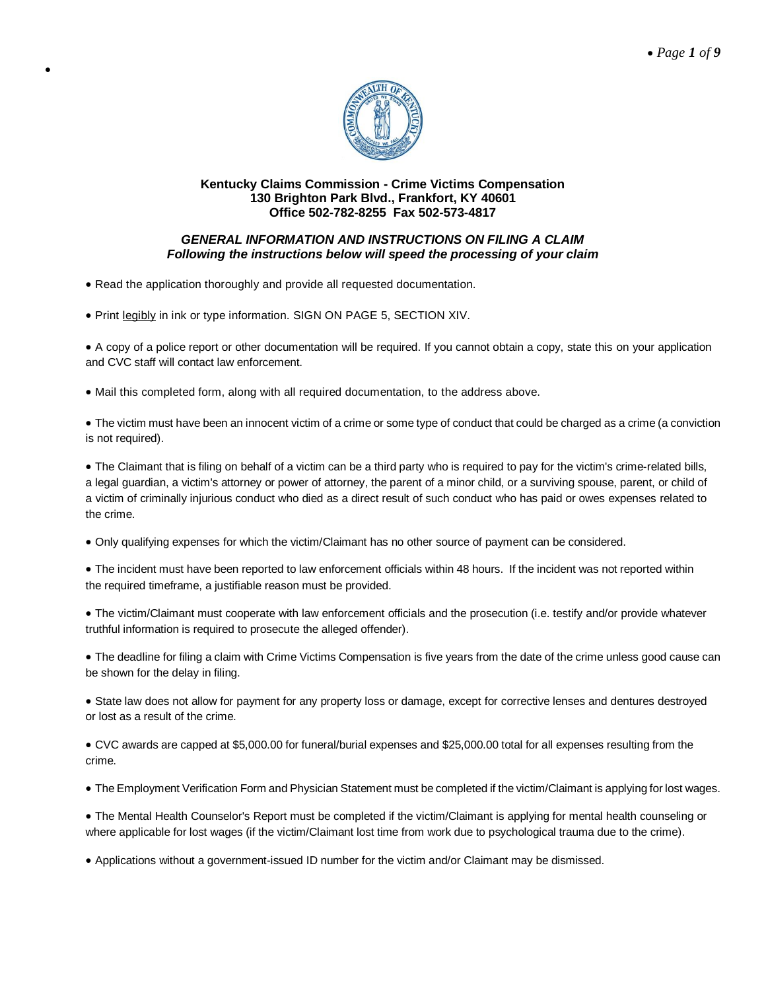

# *GENERAL INFORMATION AND INSTRUCTIONS ON FILING A CLAIM Following the instructions below will speed the processing of your claim*

Read the application thoroughly and provide all requested documentation.

 $\bullet$ 

• Print legibly in ink or type information. SIGN ON PAGE 5, SECTION XIV.

 A copy of a police report or other documentation will be required. If you cannot obtain a copy, state this on your application and CVC staff will contact law enforcement.

Mail this completed form, along with all required documentation, to the address above.

 The victim must have been an innocent victim of a crime or some type of conduct that could be charged as a crime (a conviction is not required).

• The Claimant that is filing on behalf of a victim can be a third party who is required to pay for the victim's crime-related bills, a legal guardian, a victim's attorney or power of attorney, the parent of a minor child, or a surviving spouse, parent, or child of a victim of criminally injurious conduct who died as a direct result of such conduct who has paid or owes expenses related to the crime.

Only qualifying expenses for which the victim/Claimant has no other source of payment can be considered.

 The incident must have been reported to law enforcement officials within 48 hours. If the incident was not reported within the required timeframe, a justifiable reason must be provided.

 The victim/Claimant must cooperate with law enforcement officials and the prosecution (i.e. testify and/or provide whatever truthful information is required to prosecute the alleged offender).

 The deadline for filing a claim with Crime Victims Compensation is five years from the date of the crime unless good cause can be shown for the delay in filing.

 State law does not allow for payment for any property loss or damage, except for corrective lenses and dentures destroyed or lost as a result of the crime.

 CVC awards are capped at \$5,000.00 for funeral/burial expenses and \$25,000.00 total for all expenses resulting from the crime.

The Employment Verification Form and Physician Statement must be completed if the victim/Claimant is applying for lost wages.

 The Mental Health Counselor's Report must be completed if the victim/Claimant is applying for mental health counseling or where applicable for lost wages (if the victim/Claimant lost time from work due to psychological trauma due to the crime).

Applications without a government-issued ID number for the victim and/or Claimant may be dismissed.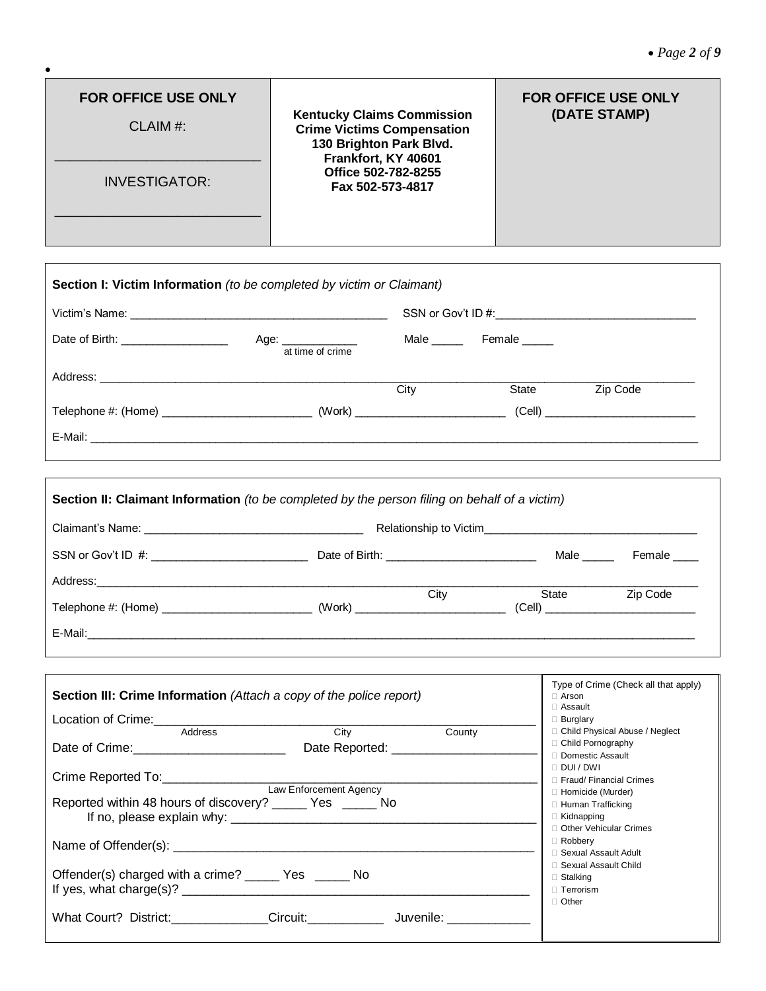٦

| <b>FOR OFFICE USE ONLY</b><br>CLAIM #:<br><b>INVESTIGATOR:</b>        | <b>Kentucky Claims Commission</b><br><b>Crime Victims Compensation</b><br>130 Brighton Park Blvd.<br>Frankfort, KY 40601<br>Office 502-782-8255<br>Fax 502-573-4817 | <b>FOR OFFICE USE ONLY</b><br>(DATE STAMP) |
|-----------------------------------------------------------------------|---------------------------------------------------------------------------------------------------------------------------------------------------------------------|--------------------------------------------|
| Section I: Victim Information (to be completed by victim or Claimant) |                                                                                                                                                                     |                                            |

 $\bullet$ 

 $\Gamma$ 

| Date of Birth: _____________________ | Age: ______________<br>at time of crime | Male <u>the second</u>                     | Female _____ |          |  |
|--------------------------------------|-----------------------------------------|--------------------------------------------|--------------|----------|--|
|                                      |                                         | City                                       | State        | Zip Code |  |
|                                      |                                         | (Work) ___________________________________ |              |          |  |
|                                      |                                         |                                            |              |          |  |

|                                                                     |  | <b>City City</b><br>State | Zip Code                             |
|---------------------------------------------------------------------|--|---------------------------|--------------------------------------|
|                                                                     |  |                           |                                      |
|                                                                     |  |                           |                                      |
| Section III: Crime Information (Attach a copy of the police report) |  | $\Box$ Arson              | Type of Crime (Check all that apply) |

| <b>Section in: Crime information</b> (Attach a copy of the police report)                                                                                                                                                     | ⊟ Als∪li<br>$\Box$ Assault |        |                                            |
|-------------------------------------------------------------------------------------------------------------------------------------------------------------------------------------------------------------------------------|----------------------------|--------|--------------------------------------------|
| Location of Crime: 1990 and 200 million of Crime:                                                                                                                                                                             |                            |        | $\Box$ Burglary                            |
| Address                                                                                                                                                                                                                       | City                       | County | □ Child Physical Abuse / Neglect           |
| Date of Crime: 2008 and 2008 and 2008 and 2008 and 2008 and 2008 and 2008 and 2008 and 2008 and 2008 and 2008 and 2008 and 2008 and 2008 and 2008 and 2008 and 2008 and 2008 and 2008 and 2008 and 2008 and 2008 and 2008 and |                            |        | □ Child Pornography                        |
|                                                                                                                                                                                                                               |                            |        | Domestic Assault                           |
|                                                                                                                                                                                                                               |                            |        | $\Box$ DUI / DWI<br>Fraud/Financial Crimes |
|                                                                                                                                                                                                                               | Law Enforcement Agency     |        | □ Homicide (Murder)                        |
| Reported within 48 hours of discovery? _______ Yes _______ No                                                                                                                                                                 |                            |        | □ Human Trafficking                        |
|                                                                                                                                                                                                                               |                            |        | $\Box$ Kidnapping                          |
|                                                                                                                                                                                                                               |                            |        | □ Other Vehicular Crimes                   |
|                                                                                                                                                                                                                               |                            |        | $\Box$ Robbery<br>□ Sexual Assault Adult   |
|                                                                                                                                                                                                                               |                            |        | □ Sexual Assault Child                     |
| Offender(s) charged with a crime? _______ Yes _______ No                                                                                                                                                                      |                            |        | $\Box$ Stalking                            |
| If yes, what charge(s)? $\qquad \qquad$                                                                                                                                                                                       |                            |        | $\Box$ Terrorism                           |
|                                                                                                                                                                                                                               |                            |        | $\Box$ Other                               |
| What Court? District: Circuit: Circuit: Juvenile:                                                                                                                                                                             |                            |        |                                            |
|                                                                                                                                                                                                                               |                            |        |                                            |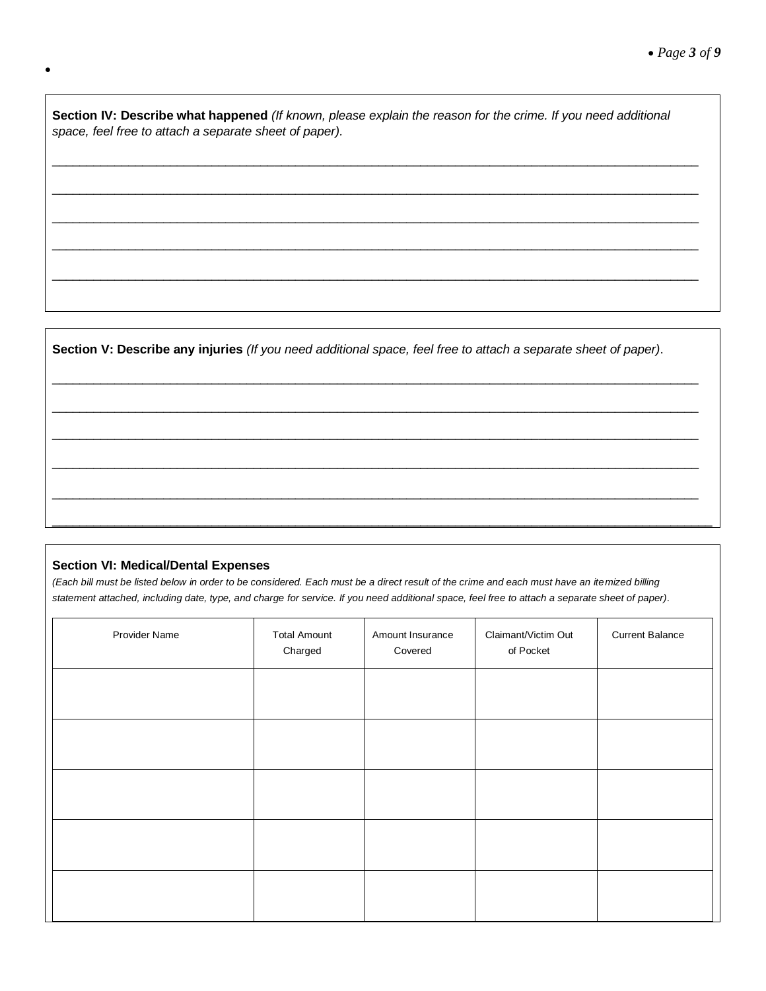**Section IV: Describe what happened** *(If known, please explain the reason for the crime. If you need additional space, feel free to attach a separate sheet of paper).*

 $\_$  ,  $\_$  ,  $\_$  ,  $\_$  ,  $\_$  ,  $\_$  ,  $\_$  ,  $\_$  ,  $\_$  ,  $\_$  ,  $\_$  ,  $\_$  ,  $\_$  ,  $\_$  ,  $\_$  ,  $\_$  ,  $\_$  ,  $\_$  ,  $\_$  ,  $\_$  ,  $\_$  ,  $\_$  ,  $\_$  ,  $\_$  ,  $\_$  ,  $\_$  ,  $\_$  ,  $\_$  ,  $\_$  ,  $\_$  ,  $\_$  ,  $\_$  ,  $\_$  ,  $\_$  ,  $\_$  ,  $\_$  ,  $\_$  ,

 $\_$  ,  $\_$  ,  $\_$  ,  $\_$  ,  $\_$  ,  $\_$  ,  $\_$  ,  $\_$  ,  $\_$  ,  $\_$  ,  $\_$  ,  $\_$  ,  $\_$  ,  $\_$  ,  $\_$  ,  $\_$  ,  $\_$  ,  $\_$  ,  $\_$  ,  $\_$  ,  $\_$  ,  $\_$  ,  $\_$  ,  $\_$  ,  $\_$  ,  $\_$  ,  $\_$  ,  $\_$  ,  $\_$  ,  $\_$  ,  $\_$  ,  $\_$  ,  $\_$  ,  $\_$  ,  $\_$  ,  $\_$  ,  $\_$  ,

 $\_$  ,  $\_$  ,  $\_$  ,  $\_$  ,  $\_$  ,  $\_$  ,  $\_$  ,  $\_$  ,  $\_$  ,  $\_$  ,  $\_$  ,  $\_$  ,  $\_$  ,  $\_$  ,  $\_$  ,  $\_$  ,  $\_$  ,  $\_$  ,  $\_$  ,  $\_$  ,  $\_$  ,  $\_$  ,  $\_$  ,  $\_$  ,  $\_$  ,  $\_$  ,  $\_$  ,  $\_$  ,  $\_$  ,  $\_$  ,  $\_$  ,  $\_$  ,  $\_$  ,  $\_$  ,  $\_$  ,  $\_$  ,  $\_$  ,

 $\_$  ,  $\_$  ,  $\_$  ,  $\_$  ,  $\_$  ,  $\_$  ,  $\_$  ,  $\_$  ,  $\_$  ,  $\_$  ,  $\_$  ,  $\_$  ,  $\_$  ,  $\_$  ,  $\_$  ,  $\_$  ,  $\_$  ,  $\_$  ,  $\_$  ,  $\_$  ,  $\_$  ,  $\_$  ,  $\_$  ,  $\_$  ,  $\_$  ,  $\_$  ,  $\_$  ,  $\_$  ,  $\_$  ,  $\_$  ,  $\_$  ,  $\_$  ,  $\_$  ,  $\_$  ,  $\_$  ,  $\_$  ,  $\_$  ,

 $\_$  ,  $\_$  ,  $\_$  ,  $\_$  ,  $\_$  ,  $\_$  ,  $\_$  ,  $\_$  ,  $\_$  ,  $\_$  ,  $\_$  ,  $\_$  ,  $\_$  ,  $\_$  ,  $\_$  ,  $\_$  ,  $\_$  ,  $\_$  ,  $\_$  ,  $\_$  ,  $\_$  ,  $\_$  ,  $\_$  ,  $\_$  ,  $\_$  ,  $\_$  ,  $\_$  ,  $\_$  ,  $\_$  ,  $\_$  ,  $\_$  ,  $\_$  ,  $\_$  ,  $\_$  ,  $\_$  ,  $\_$  ,  $\_$  ,

 $\_$  ,  $\_$  ,  $\_$  ,  $\_$  ,  $\_$  ,  $\_$  ,  $\_$  ,  $\_$  ,  $\_$  ,  $\_$  ,  $\_$  ,  $\_$  ,  $\_$  ,  $\_$  ,  $\_$  ,  $\_$  ,  $\_$  ,  $\_$  ,  $\_$  ,  $\_$  ,  $\_$  ,  $\_$  ,  $\_$  ,  $\_$  ,  $\_$  ,  $\_$  ,  $\_$  ,  $\_$  ,  $\_$  ,  $\_$  ,  $\_$  ,  $\_$  ,  $\_$  ,  $\_$  ,  $\_$  ,  $\_$  ,  $\_$  ,

 $\_$  ,  $\_$  ,  $\_$  ,  $\_$  ,  $\_$  ,  $\_$  ,  $\_$  ,  $\_$  ,  $\_$  ,  $\_$  ,  $\_$  ,  $\_$  ,  $\_$  ,  $\_$  ,  $\_$  ,  $\_$  ,  $\_$  ,  $\_$  ,  $\_$  ,  $\_$  ,  $\_$  ,  $\_$  ,  $\_$  ,  $\_$  ,  $\_$  ,  $\_$  ,  $\_$  ,  $\_$  ,  $\_$  ,  $\_$  ,  $\_$  ,  $\_$  ,  $\_$  ,  $\_$  ,  $\_$  ,  $\_$  ,  $\_$  ,

 $\_$  ,  $\_$  ,  $\_$  ,  $\_$  ,  $\_$  ,  $\_$  ,  $\_$  ,  $\_$  ,  $\_$  ,  $\_$  ,  $\_$  ,  $\_$  ,  $\_$  ,  $\_$  ,  $\_$  ,  $\_$  ,  $\_$  ,  $\_$  ,  $\_$  ,  $\_$  ,  $\_$  ,  $\_$  ,  $\_$  ,  $\_$  ,  $\_$  ,  $\_$  ,  $\_$  ,  $\_$  ,  $\_$  ,  $\_$  ,  $\_$  ,  $\_$  ,  $\_$  ,  $\_$  ,  $\_$  ,  $\_$  ,  $\_$  ,

 $\_$  ,  $\_$  ,  $\_$  ,  $\_$  ,  $\_$  ,  $\_$  ,  $\_$  ,  $\_$  ,  $\_$  ,  $\_$  ,  $\_$  ,  $\_$  ,  $\_$  ,  $\_$  ,  $\_$  ,  $\_$  ,  $\_$  ,  $\_$  ,  $\_$  ,  $\_$  ,  $\_$  ,  $\_$  ,  $\_$  ,  $\_$  ,  $\_$  ,  $\_$  ,  $\_$  ,  $\_$  ,  $\_$  ,  $\_$  ,  $\_$  ,  $\_$  ,  $\_$  ,  $\_$  ,  $\_$  ,  $\_$  ,  $\_$  ,

 $\_$  ,  $\_$  ,  $\_$  ,  $\_$  ,  $\_$  ,  $\_$  ,  $\_$  ,  $\_$  ,  $\_$  ,  $\_$  ,  $\_$  ,  $\_$  ,  $\_$  ,  $\_$  ,  $\_$  ,  $\_$  ,  $\_$  ,  $\_$  ,  $\_$  ,  $\_$  ,  $\_$  ,  $\_$  ,  $\_$  ,  $\_$  ,  $\_$  ,  $\_$  ,  $\_$  ,  $\_$  ,  $\_$  ,  $\_$  ,  $\_$  ,  $\_$  ,  $\_$  ,  $\_$  ,  $\_$  ,  $\_$  ,  $\_$  ,

 $\_$  ,  $\_$  ,  $\_$  ,  $\_$  ,  $\_$  ,  $\_$  ,  $\_$  ,  $\_$  ,  $\_$  ,  $\_$  ,  $\_$  ,  $\_$  ,  $\_$  ,  $\_$  ,  $\_$  ,  $\_$  ,  $\_$  ,  $\_$  ,  $\_$  ,  $\_$  ,  $\_$  ,  $\_$  ,  $\_$  ,  $\_$  ,  $\_$  ,  $\_$  ,  $\_$  ,  $\_$  ,  $\_$  ,  $\_$  ,  $\_$  ,  $\_$  ,  $\_$  ,  $\_$  ,  $\_$  ,  $\_$  ,  $\_$  ,

**Section V: Describe any injuries** *(If you need additional space, feel free to attach a separate sheet of paper)*.

# **Section VI: Medical/Dental Expenses**

 $\bullet$ 

*(Each bill must be listed below in order to be considered. Each must be a direct result of the crime and each must have an itemized billing statement attached, including date, type, and charge for service. If you need additional space, feel free to attach a separate sheet of paper)*.

| Provider Name | <b>Total Amount</b><br>Charged | Amount Insurance<br>Covered | Claimant/Victim Out<br>of Pocket | <b>Current Balance</b> |
|---------------|--------------------------------|-----------------------------|----------------------------------|------------------------|
|               |                                |                             |                                  |                        |
|               |                                |                             |                                  |                        |
|               |                                |                             |                                  |                        |
|               |                                |                             |                                  |                        |
|               |                                |                             |                                  |                        |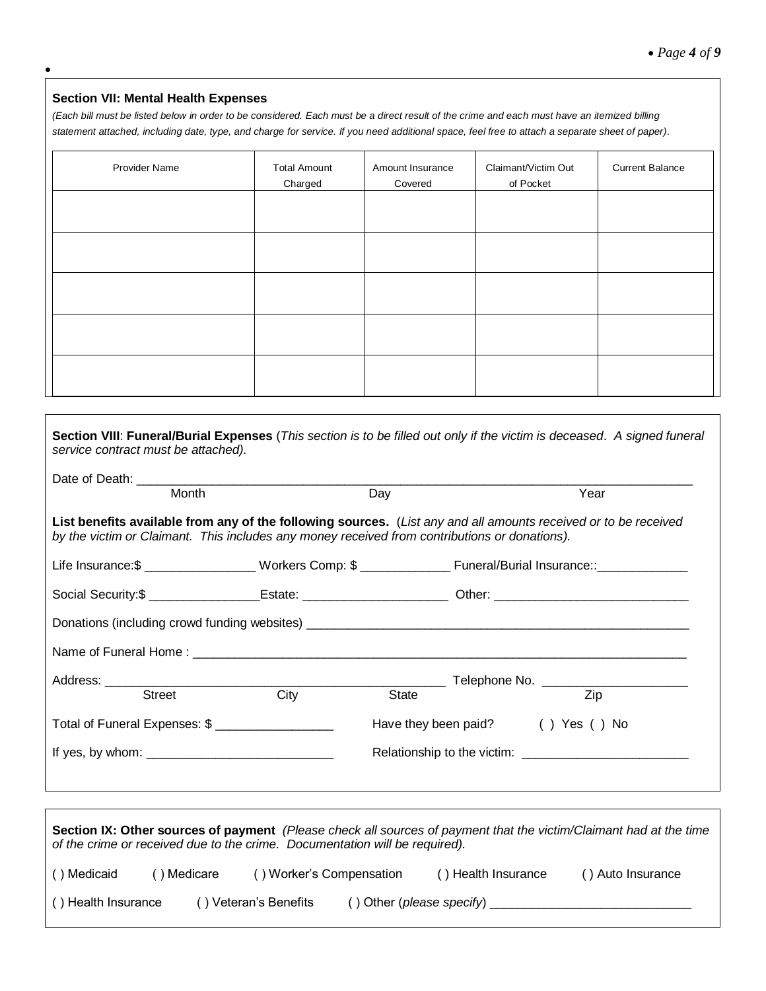# **Section VII: Mental Health Expenses**

 $\bullet$ 

Г

*(Each bill must be listed below in order to be considered. Each must be a direct result of the crime and each must have an itemized billing statement attached, including date, type, and charge for service. If you need additional space, feel free to attach a separate sheet of paper)*.

| Provider Name | <b>Total Amount</b><br>Charged | Amount Insurance<br>Covered | Claimant/Victim Out<br>of Pocket | <b>Current Balance</b> |
|---------------|--------------------------------|-----------------------------|----------------------------------|------------------------|
|               |                                |                             |                                  |                        |
|               |                                |                             |                                  |                        |
|               |                                |                             |                                  |                        |
|               |                                |                             |                                  |                        |
|               |                                |                             |                                  |                        |

| Section VIII: Funeral/Burial Expenses (This section is to be filled out only if the victim is deceased. A signed funeral<br>service contract must be attached).                                                                                                                                                                                           |      |       |                                   |
|-----------------------------------------------------------------------------------------------------------------------------------------------------------------------------------------------------------------------------------------------------------------------------------------------------------------------------------------------------------|------|-------|-----------------------------------|
| Month                                                                                                                                                                                                                                                                                                                                                     |      | Day   | Year                              |
| List benefits available from any of the following sources. (List any and all amounts received or to be received<br>by the victim or Claimant. This includes any money received from contributions or donations).                                                                                                                                          |      |       |                                   |
| Life Insurance:\$ ___________________Workers Comp: \$ _____________________________ Funeral/Burial Insurance:: ________________                                                                                                                                                                                                                           |      |       |                                   |
|                                                                                                                                                                                                                                                                                                                                                           |      |       |                                   |
|                                                                                                                                                                                                                                                                                                                                                           |      |       |                                   |
|                                                                                                                                                                                                                                                                                                                                                           |      |       |                                   |
|                                                                                                                                                                                                                                                                                                                                                           |      |       |                                   |
| <b>Street</b>                                                                                                                                                                                                                                                                                                                                             | City | State | $\overline{Zip}$                  |
| Total of Funeral Expenses: \$ __________________                                                                                                                                                                                                                                                                                                          |      |       | Have they been paid? () Yes () No |
|                                                                                                                                                                                                                                                                                                                                                           |      |       |                                   |
|                                                                                                                                                                                                                                                                                                                                                           |      |       |                                   |
|                                                                                                                                                                                                                                                                                                                                                           |      |       |                                   |
| Section IX: Other sources of payment (Please check all sources of payment that the victim/Claimant had at the time<br>of the crime or received due to the crime. Documentation will be required).                                                                                                                                                         |      |       |                                   |
| $\lambda$ and $\lambda$ and $\lambda$ and $\lambda$ and $\lambda$ and $\lambda$ and $\lambda$ and $\lambda$ and $\lambda$ and $\lambda$ and $\lambda$ and $\lambda$ and $\lambda$ and $\lambda$ and $\lambda$ and $\lambda$ and $\lambda$ and $\lambda$ and $\lambda$ and $\lambda$ and $\lambda$ and $\lambda$ and $\lambda$ and $\lambda$ and $\lambda$ |      |       |                                   |

| () Medicaid         | ) Medicare | () Worker's Compensation |                                      | () Health Insurance | () Auto Insurance |
|---------------------|------------|--------------------------|--------------------------------------|---------------------|-------------------|
| () Health Insurance |            | () Veteran's Benefits    | $()$ Other ( <i>please specify</i> ) |                     |                   |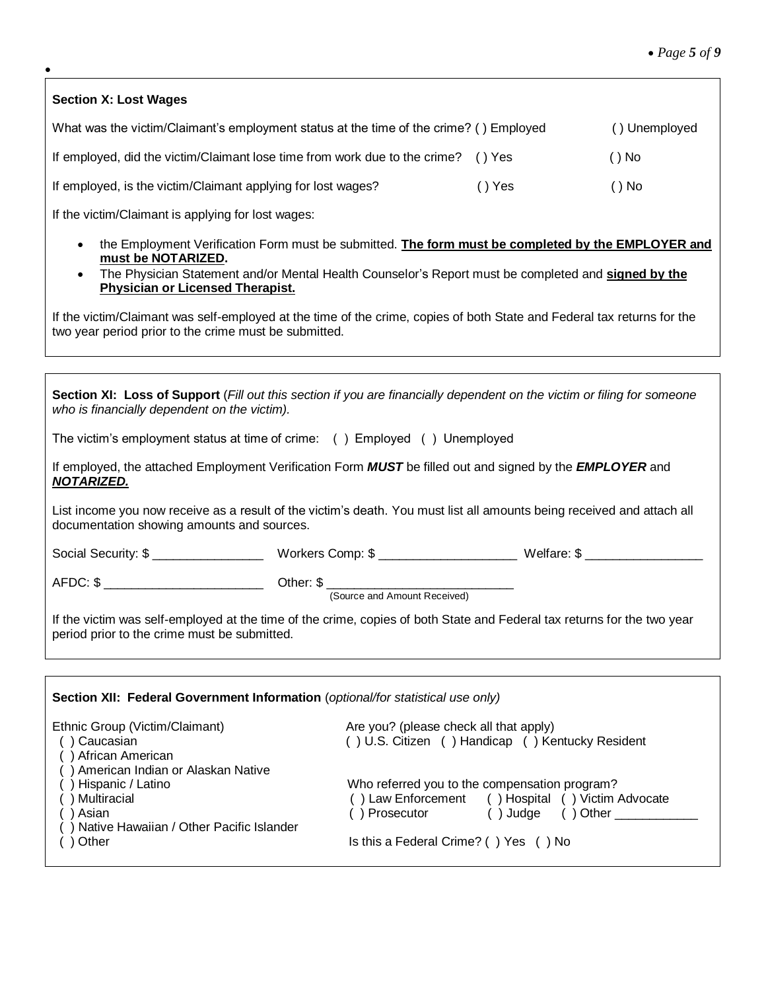| <b>Section X: Lost Wages</b>                                                           |        |               |
|----------------------------------------------------------------------------------------|--------|---------------|
| What was the victim/Claimant's employment status at the time of the crime? () Employed |        | () Unemployed |
| If employed, did the victim/Claimant lose time from work due to the crime?             | () Yes | ( ) No        |
| If employed, is the victim/Claimant applying for lost wages?                           | () Yes | ()No          |
| If the victim/Claimant is applying for lost wages:                                     |        |               |

 $\bullet$ 

- the Employment Verification Form must be submitted. **The form must be completed by the EMPLOYER and must be NOTARIZED.**
- The Physician Statement and/or Mental Health Counselor's Report must be completed and **signed by the Physician or Licensed Therapist.**

If the victim/Claimant was self-employed at the time of the crime, copies of both State and Federal tax returns for the two year period prior to the crime must be submitted.

| Section XI: Loss of Support (Fill out this section if you are financially dependent on the victim or filing for someone<br>who is financially dependent on the victim).                                                    |                                                                                                                                                                                                                                                                                         |  |  |  |  |  |
|----------------------------------------------------------------------------------------------------------------------------------------------------------------------------------------------------------------------------|-----------------------------------------------------------------------------------------------------------------------------------------------------------------------------------------------------------------------------------------------------------------------------------------|--|--|--|--|--|
| The victim's employment status at time of crime: () Employed () Unemployed                                                                                                                                                 |                                                                                                                                                                                                                                                                                         |  |  |  |  |  |
| <b>NOTARIZED.</b>                                                                                                                                                                                                          | If employed, the attached Employment Verification Form <b>MUST</b> be filled out and signed by the <b>EMPLOYER</b> and                                                                                                                                                                  |  |  |  |  |  |
| documentation showing amounts and sources.                                                                                                                                                                                 | List income you now receive as a result of the victim's death. You must list all amounts being received and attach all                                                                                                                                                                  |  |  |  |  |  |
|                                                                                                                                                                                                                            |                                                                                                                                                                                                                                                                                         |  |  |  |  |  |
| AFDC: \$                                                                                                                                                                                                                   |                                                                                                                                                                                                                                                                                         |  |  |  |  |  |
| period prior to the crime must be submitted.                                                                                                                                                                               | If the victim was self-employed at the time of the crime, copies of both State and Federal tax returns for the two year                                                                                                                                                                 |  |  |  |  |  |
|                                                                                                                                                                                                                            |                                                                                                                                                                                                                                                                                         |  |  |  |  |  |
| Section XII: Federal Government Information (optional/for statistical use only)                                                                                                                                            |                                                                                                                                                                                                                                                                                         |  |  |  |  |  |
| Ethnic Group (Victim/Claimant)<br>() Caucasian<br>() African American<br>() American Indian or Alaskan Native<br>() Hispanic / Latino<br>) Multiracial<br>() Asian<br>() Native Hawaiian / Other Pacific Islander<br>Other | Are you? (please check all that apply)<br>() U.S. Citizen () Handicap () Kentucky Resident<br>Who referred you to the compensation program?<br>() Law Enforcement () Hospital () Victim Advocate<br>() Prosecutor () Judge () Other __________<br>Is this a Federal Crime? () Yes () No |  |  |  |  |  |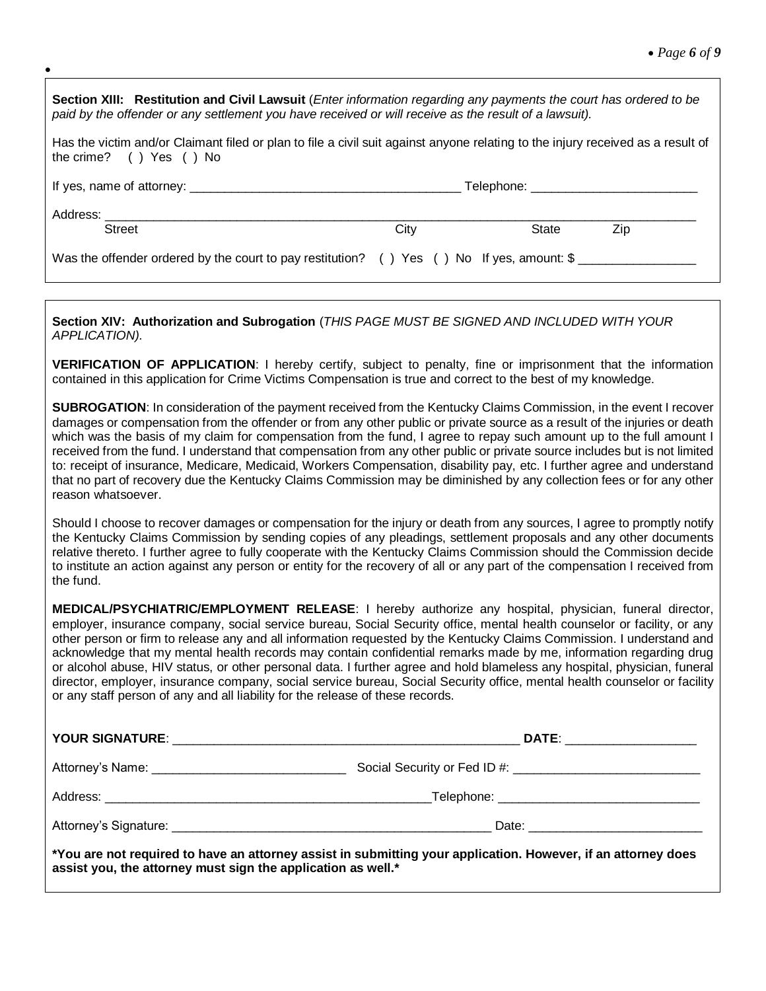| Section XIII: Restitution and Civil Lawsuit (Enter information regarding any payments the court has ordered to be<br>paid by the offender or any settlement you have received or will receive as the result of a lawsuit). |      |       |     |  |
|----------------------------------------------------------------------------------------------------------------------------------------------------------------------------------------------------------------------------|------|-------|-----|--|
| Has the victim and/or Claimant filed or plan to file a civil suit against anyone relating to the injury received as a result of<br>the crime? () Yes () No                                                                 |      |       |     |  |
|                                                                                                                                                                                                                            |      |       |     |  |
|                                                                                                                                                                                                                            |      |       |     |  |
| <b>Street</b>                                                                                                                                                                                                              | City | State | Zip |  |
| Was the offender ordered by the court to pay restitution? () Yes () No If yes, amount: \$                                                                                                                                  |      |       |     |  |

 $\bullet$ 

**Section XIV: Authorization and Subrogation** (*THIS PAGE MUST BE SIGNED AND INCLUDED WITH YOUR APPLICATION).*

**VERIFICATION OF APPLICATION**: I hereby certify, subject to penalty, fine or imprisonment that the information contained in this application for Crime Victims Compensation is true and correct to the best of my knowledge.

**SUBROGATION**: In consideration of the payment received from the Kentucky Claims Commission, in the event I recover damages or compensation from the offender or from any other public or private source as a result of the injuries or death which was the basis of my claim for compensation from the fund, I agree to repay such amount up to the full amount I received from the fund. I understand that compensation from any other public or private source includes but is not limited to: receipt of insurance, Medicare, Medicaid, Workers Compensation, disability pay, etc. I further agree and understand that no part of recovery due the Kentucky Claims Commission may be diminished by any collection fees or for any other reason whatsoever.

Should I choose to recover damages or compensation for the injury or death from any sources, I agree to promptly notify the Kentucky Claims Commission by sending copies of any pleadings, settlement proposals and any other documents relative thereto. I further agree to fully cooperate with the Kentucky Claims Commission should the Commission decide to institute an action against any person or entity for the recovery of all or any part of the compensation I received from the fund.

**MEDICAL/PSYCHIATRIC/EMPLOYMENT RELEASE**: I hereby authorize any hospital, physician, funeral director, employer, insurance company, social service bureau, Social Security office, mental health counselor or facility, or any other person or firm to release any and all information requested by the Kentucky Claims Commission. I understand and acknowledge that my mental health records may contain confidential remarks made by me, information regarding drug or alcohol abuse, HIV status, or other personal data. I further agree and hold blameless any hospital, physician, funeral director, employer, insurance company, social service bureau, Social Security office, mental health counselor or facility or any staff person of any and all liability for the release of these records.

| DATE: ___________________                                                                                       |  |  |
|-----------------------------------------------------------------------------------------------------------------|--|--|
| Social Security or Fed ID #: \\connection = \\connection = \\connection = \\connection = \\connection = \\conne |  |  |
|                                                                                                                 |  |  |
|                                                                                                                 |  |  |
| Nou are not required to have an attorney assist in submitting your application. However, if an attorney does    |  |  |

**\*You are not required to have an attorney assist in submitting your application. However, if an attorney does assist you, the attorney must sign the application as well.\***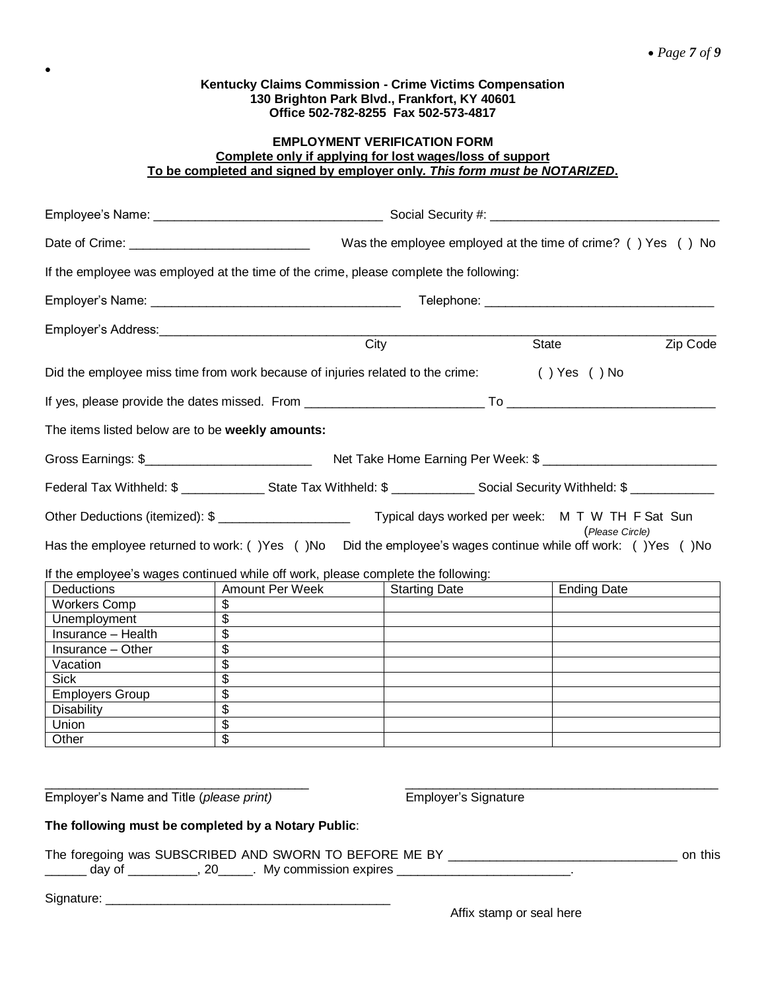$\bullet$ 

# **EMPLOYMENT VERIFICATION FORM Complete only if applying for lost wages/loss of support To be completed and signed by employer only***. This form must be NOTARIZED***.**

| If the employee was employed at the time of the crime, please complete the following:                                                              |                                                                                                                                           |                                                  |                    |          |
|----------------------------------------------------------------------------------------------------------------------------------------------------|-------------------------------------------------------------------------------------------------------------------------------------------|--------------------------------------------------|--------------------|----------|
|                                                                                                                                                    |                                                                                                                                           |                                                  |                    |          |
|                                                                                                                                                    |                                                                                                                                           |                                                  |                    |          |
|                                                                                                                                                    |                                                                                                                                           | City                                             | State              | Zip Code |
| Did the employee miss time from work because of injuries related to the crime: () Yes () No                                                        |                                                                                                                                           |                                                  |                    |          |
|                                                                                                                                                    |                                                                                                                                           |                                                  |                    |          |
| The items listed below are to be weekly amounts:                                                                                                   |                                                                                                                                           |                                                  |                    |          |
|                                                                                                                                                    |                                                                                                                                           |                                                  |                    |          |
|                                                                                                                                                    | Federal Tax Withheld: \$ ____________________State Tax Withheld: \$ _________________Social Security Withheld: \$ _______________________ |                                                  |                    |          |
| Other Deductions (itemized): \$<br>Has the employee returned to work: () Yes () No  Did the employee's wages continue while off work: () Yes () No |                                                                                                                                           | Typical days worked per week: M T W TH F Sat Sun | (Please Circle)    |          |
| If the employee's wages continued while off work, please complete the following:                                                                   |                                                                                                                                           |                                                  |                    |          |
| <b>Deductions</b>                                                                                                                                  | Amount Per Week                                                                                                                           | <b>Starting Date</b>                             | <b>Ending Date</b> |          |
| Workers Comp                                                                                                                                       | \$                                                                                                                                        |                                                  |                    |          |
| Unemployment                                                                                                                                       | $\overline{\$}$                                                                                                                           |                                                  |                    |          |
| Insurance - Health                                                                                                                                 | $\overline{\$}$                                                                                                                           |                                                  |                    |          |
| Insurance - Other                                                                                                                                  | $\overline{\$}$                                                                                                                           |                                                  |                    |          |
| Vacation                                                                                                                                           | $\overline{\$}$                                                                                                                           |                                                  |                    |          |
| <b>Sick</b>                                                                                                                                        | $\overline{\$}$                                                                                                                           |                                                  |                    |          |
| <b>Employers Group</b>                                                                                                                             | $\overline{\$}$                                                                                                                           |                                                  |                    |          |
| <b>Disability</b>                                                                                                                                  | $\overline{\$}$                                                                                                                           |                                                  |                    |          |
| Union                                                                                                                                              | $\overline{\mathcal{L}}$                                                                                                                  |                                                  |                    |          |
| Other                                                                                                                                              | $\overline{\$}$                                                                                                                           |                                                  |                    |          |
| Employer's Name and Title (please print)                                                                                                           |                                                                                                                                           | <b>Employer's Signature</b>                      |                    |          |
| The following must be completed by a Notary Public:                                                                                                |                                                                                                                                           |                                                  |                    |          |
|                                                                                                                                                    |                                                                                                                                           |                                                  |                    |          |
|                                                                                                                                                    | day of __________, 20______. My commission expires ___________________________.                                                           |                                                  |                    |          |
|                                                                                                                                                    |                                                                                                                                           |                                                  |                    |          |

Affix stamp or seal here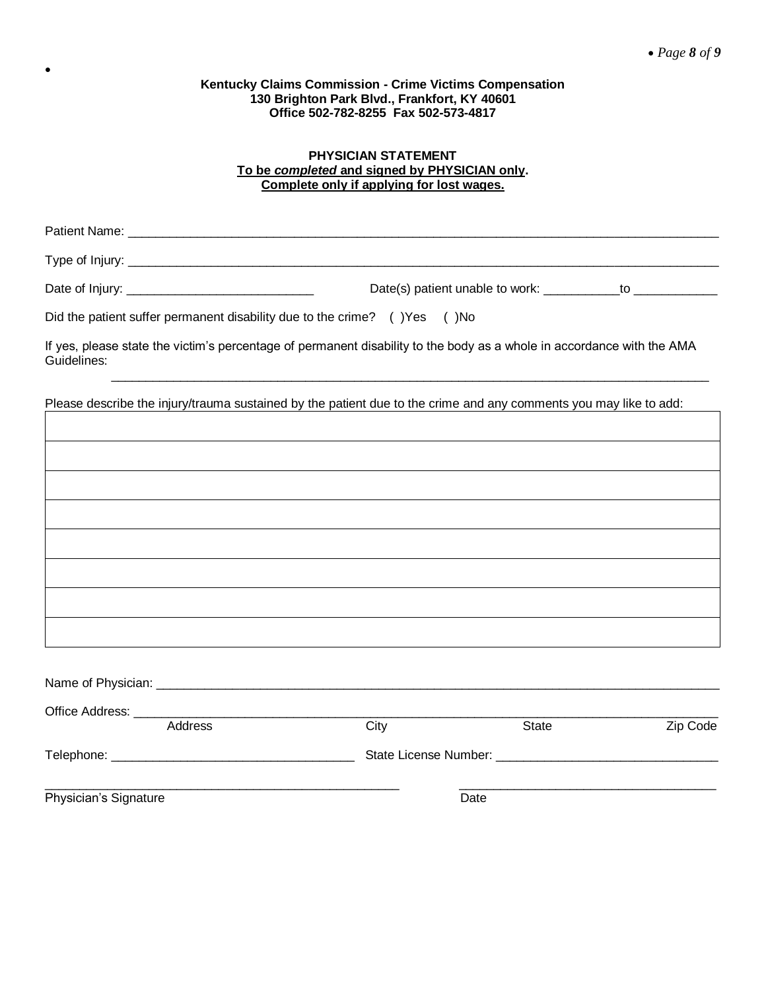$\bullet$ 

# **PHYSICIAN STATEMENT To be** *completed* **and signed by PHYSICIAN only. Complete only if applying for lost wages.**

|             | Did the patient suffer permanent disability due to the crime? () Yes () No |                                                                                                                        |  |
|-------------|----------------------------------------------------------------------------|------------------------------------------------------------------------------------------------------------------------|--|
| Guidelines: |                                                                            | If yes, please state the victim's percentage of permanent disability to the body as a whole in accordance with the AMA |  |
|             |                                                                            |                                                                                                                        |  |

Please describe the injury/trauma sustained by the patient due to the crime and any comments you may like to add:

|                       | Address | City | <b>State</b> | Zip Code |
|-----------------------|---------|------|--------------|----------|
| Telephone: Telephone: |         |      |              |          |
| Physician's Signature |         |      | Date         |          |